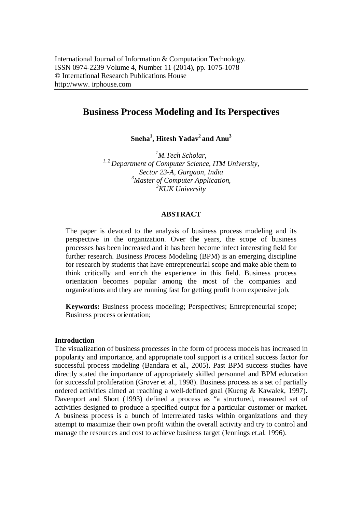# **Business Process Modeling and Its Perspectives**

**Sneha<sup>1</sup> , Hitesh Yadav<sup>2</sup>and Anu<sup>3</sup>**

*<sup>1</sup>M.Tech Scholar, 1, 2 Department of Computer Science, ITM University, Sector 23-A, Gurgaon, India <sup>3</sup>Master of Computer Application, <sup>3</sup>KUK University*

#### **ABSTRACT**

The paper is devoted to the analysis of business process modeling and its perspective in the organization. Over the years, the scope of business processes has been increased and it has been become infect interesting field for further research. Business Process Modeling (BPM) is an emerging discipline for research by students that have entrepreneurial scope and make able them to think critically and enrich the experience in this field. Business process orientation becomes popular among the most of the companies and organizations and they are running fast for getting profit from expensive job.

**Keywords:** Business process modeling; Perspectives; Entrepreneurial scope; Business process orientation;

#### **Introduction**

The visualization of business processes in the form of process models has increased in popularity and importance, and appropriate tool support is a critical success factor for successful process modeling (Bandara et al., 2005). Past BPM success studies have directly stated the importance of appropriately skilled personnel and BPM education for successful proliferation (Grover et al., 1998). Business process as a set of partially ordered activities aimed at reaching a well-defined goal (Kueng & Kawalek, 1997). Davenport and Short (1993) defined a process as "a structured, measured set of activities designed to produce a specified output for a particular customer or market. A business process is a bunch of interrelated tasks within organizations and they attempt to maximize their own profit within the overall activity and try to control and manage the resources and cost to achieve business target (Jennings et.al. 1996).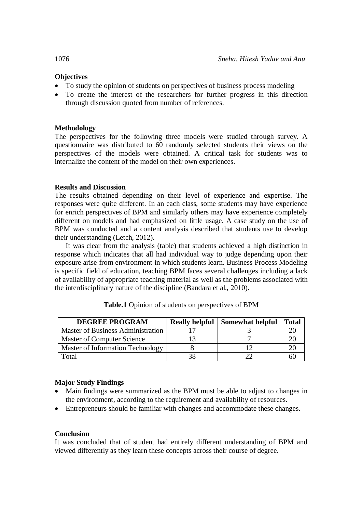## **Objectives**

- To study the opinion of students on perspectives of business process modeling
- To create the interest of the researchers for further progress in this direction through discussion quoted from number of references.

## **Methodology**

The perspectives for the following three models were studied through survey. A questionnaire was distributed to 60 randomly selected students their views on the perspectives of the models were obtained. A critical task for students was to internalize the content of the model on their own experiences.

## **Results and Discussion**

The results obtained depending on their level of experience and expertise. The responses were quite different. In an each class, some students may have experience for enrich perspectives of BPM and similarly others may have experience completely different on models and had emphasized on little usage. A case study on the use of BPM was conducted and a content analysis described that students use to develop their understanding (Letch, 2012).

It was clear from the analysis (table) that students achieved a high distinction in response which indicates that all had individual way to judge depending upon their exposure arise from environment in which students learn. Business Process Modeling is specific field of education, teaching BPM faces several challenges including a lack of availability of appropriate teaching material as well as the problems associated with the interdisciplinary nature of the discipline (Bandara et al., 2010).

| <b>DEGREE PROGRAM</b>                    | <b>Really helpful</b> | <b>Somewhat helpful</b> | <b>Total</b> |
|------------------------------------------|-----------------------|-------------------------|--------------|
| <b>Master of Business Administration</b> |                       |                         |              |
| Master of Computer Science               |                       |                         |              |
| Master of Information Technology         |                       |                         |              |
| Total                                    |                       |                         |              |

| Table.1 Opinion of students on perspectives of BPM |  |
|----------------------------------------------------|--|
|----------------------------------------------------|--|

## **Major Study Findings**

- Main findings were summarized as the BPM must be able to adjust to changes in the environment, according to the requirement and availability of resources.
- Entrepreneurs should be familiar with changes and accommodate these changes.

### **Conclusion**

It was concluded that of student had entirely different understanding of BPM and viewed differently as they learn these concepts across their course of degree.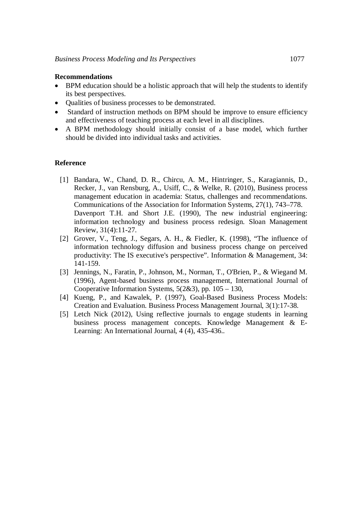#### **Recommendations**

- BPM education should be a holistic approach that will help the students to identify its best perspectives.
- Qualities of business processes to be demonstrated.
- Standard of instruction methods on BPM should be improve to ensure efficiency and effectiveness of teaching process at each level in all disciplines.
- A BPM methodology should initially consist of a base model, which further should be divided into individual tasks and activities.

#### **Reference**

- [1] Bandara, W., Chand, D. R., Chircu, A. M., Hintringer, S., Karagiannis, D., Recker, J., van Rensburg, A., Usiff, C., & Welke, R. (2010), Business process management education in academia: Status, challenges and recommendations. Communications of the Association for Information Systems, 27(1), 743–778. Davenport T.H. and Short J.E. (1990). The new industrial engineering: information technology and business process redesign. Sloan Management Review, 31(4):11-27.
- [2] Grover, V., Teng, J., Segars, A. H., & Fiedler, K. (1998), "The influence of information technology diffusion and business process change on perceived productivity: The IS executive's perspective". Information & Management, 34: 141-159.
- [3] Jennings, N., Faratin, P., Johnson, M., Norman, T., O'Brien, P., & Wiegand M. (1996), Agent-based business process management, International Journal of Cooperative Information Systems, 5(2&3), pp. 105 – 130,
- [4] Kueng, P., and Kawalek, P. (1997), Goal-Based Business Process Models: Creation and Evaluation. Business Process Management Journal, 3(1):17-38.
- [5] Letch Nick (2012), Using reflective journals to engage students in learning business process management concepts. Knowledge Management & E-Learning: An International Journal, 4 (4), 435-436..